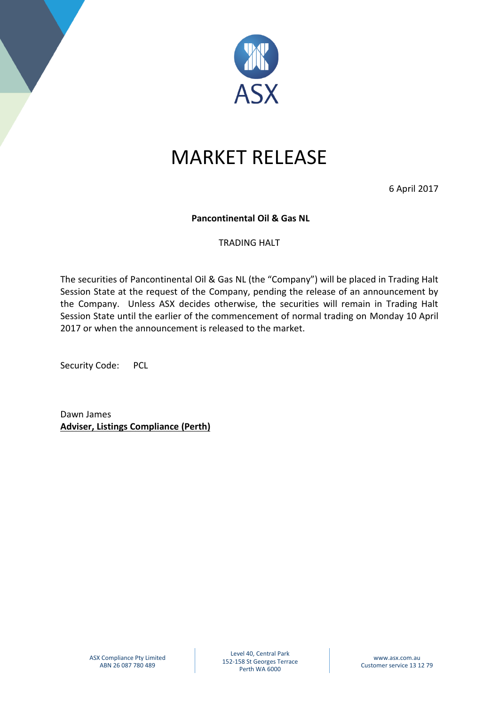

## MARKET RELEASE

6 April 2017

## **Pancontinental Oil & Gas NL**

## TRADING HALT

The securities of Pancontinental Oil & Gas NL (the "Company") will be placed in Trading Halt Session State at the request of the Company, pending the release of an announcement by the Company. Unless ASX decides otherwise, the securities will remain in Trading Halt Session State until the earlier of the commencement of normal trading on Monday 10 April 2017 or when the announcement is released to the market.

Security Code: PCL

Dawn James **Adviser, Listings Compliance (Perth)**

Level 40, Central Park 152-158 St Georges Terrace Perth WA 6000

www.asx.com.au Customer service 13 12 79